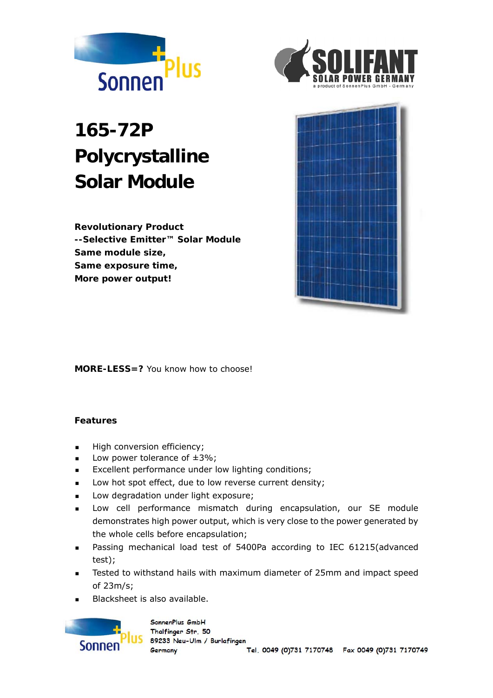



# **165-72P Polycrystalline Solar Module**

**Revolutionary Product --Selective Emitter™ Solar Module Same module size, Same exposure time, More power output!** 



**MORE-LESS=?** You know how to choose!

### **Features**

- **High conversion efficiency;**
- **Low power tolerance of**  $\pm 3\%$ **;**
- **Excellent performance under low lighting conditions;**
- Low hot spot effect, due to low reverse current density;
- **Low degradation under light exposure;**
- **EXECT** Low cell performance mismatch during encapsulation, our SE module demonstrates high power output, which is very close to the power generated by the whole cells before encapsulation;
- Passing mechanical load test of 5400Pa according to IEC 61215(advanced test);
- **EXECT:** Tested to withstand hails with maximum diameter of 25mm and impact speed of 23m/s;
- Blacksheet is also available.

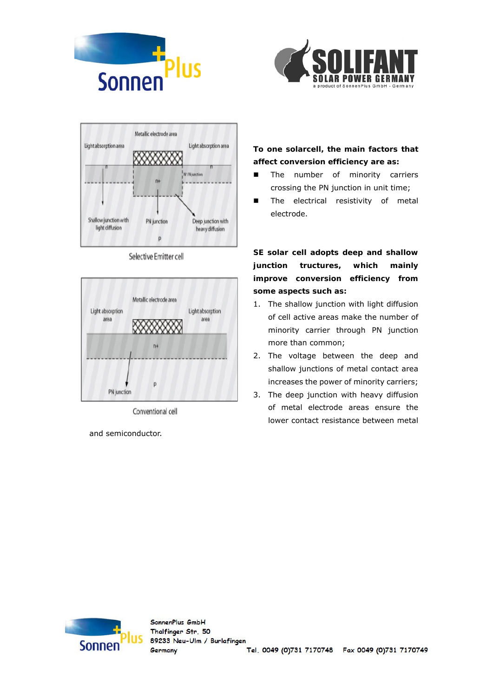





Selective Emitter cell



Conventional cell

and semiconductor.

**To one solarcell, the main factors that affect conversion efficiency are as:** 

- **n** The number of minority carriers crossing the PN junction in unit time;
- **The electrical resistivity of metal** electrode.

**SE solar cell adopts deep and shallow junction tructures, which mainly improve conversion efficiency from some aspects such as:** 

- 1. The shallow junction with light diffusion of cell active areas make the number of minority carrier through PN junction more than common;
- 2. The voltage between the deep and shallow junctions of metal contact area increases the power of minority carriers;
- 3. The deep junction with heavy diffusion of metal electrode areas ensure the lower contact resistance between metal

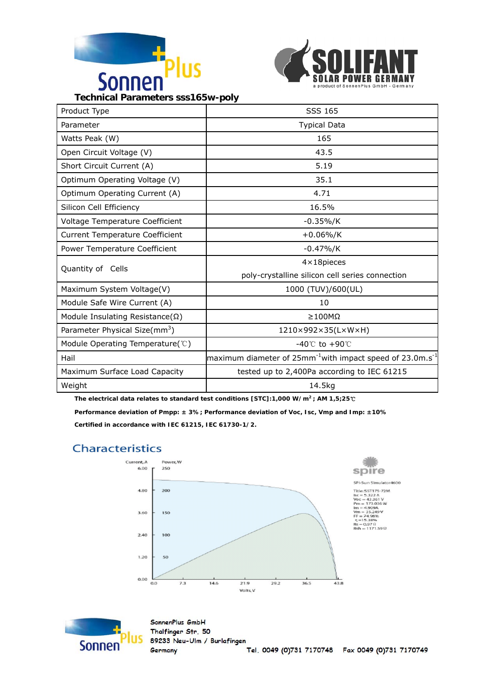



**Technical Parameters sss165w-poly** 

| Product Type                              | SSS 165                                                                                 |  |
|-------------------------------------------|-----------------------------------------------------------------------------------------|--|
| Parameter                                 | <b>Typical Data</b>                                                                     |  |
| Watts Peak (W)                            | 165                                                                                     |  |
| Open Circuit Voltage (V)                  | 43.5                                                                                    |  |
| Short Circuit Current (A)                 | 5.19                                                                                    |  |
| Optimum Operating Voltage (V)             | 35.1                                                                                    |  |
| Optimum Operating Current (A)             | 4.71                                                                                    |  |
| Silicon Cell Efficiency                   | 16.5%                                                                                   |  |
| Voltage Temperature Coefficient           | $-0.35\%/K$                                                                             |  |
| <b>Current Temperature Coefficient</b>    | $+0.06\%/K$                                                                             |  |
| Power Temperature Coefficient             | $-0.47\%/K$                                                                             |  |
| Quantity of Cells                         | $4 \times 18$ pieces                                                                    |  |
|                                           | poly-crystalline silicon cell series connection                                         |  |
| Maximum System Voltage(V)                 | 1000 (TUV)/600(UL)                                                                      |  |
| Module Safe Wire Current (A)              | 10                                                                                      |  |
| Module Insulating Resistance( $\Omega$ )  | ≥100MΩ                                                                                  |  |
| Parameter Physical Size(mm <sup>3</sup> ) | 1210×992×35(L×W×H)                                                                      |  |
| Module Operating Temperature(°C)          | $-40^{\circ}$ to +90 $\circ$                                                            |  |
| Hail                                      | maximum diameter of $25$ mm <sup>-1</sup> with impact speed of $23.0$ m.s <sup>-1</sup> |  |
| Maximum Surface Load Capacity             | tested up to 2,400Pa according to IEC 61215                                             |  |
| Weight                                    | 14.5kg                                                                                  |  |

**The electrical data relates to standard test conditions [STC]:1,000 W/m2 ; AM 1,5;25**℃ **Performance deviation of Pmpp: ± 3%; Performance deviation of Voc, Isc, Vmp and Imp: ±10% Certified in accordance with IEC 61215, IEC 61730-1/2.** 

## **Characteristics**





SonnenPlus GmbH Thalfinger Str. 50 89233 Neu-Ulm / Burlafingen Germany Tel. 0049 (0)731 7170748 Fax 0049 (0)731 7170749